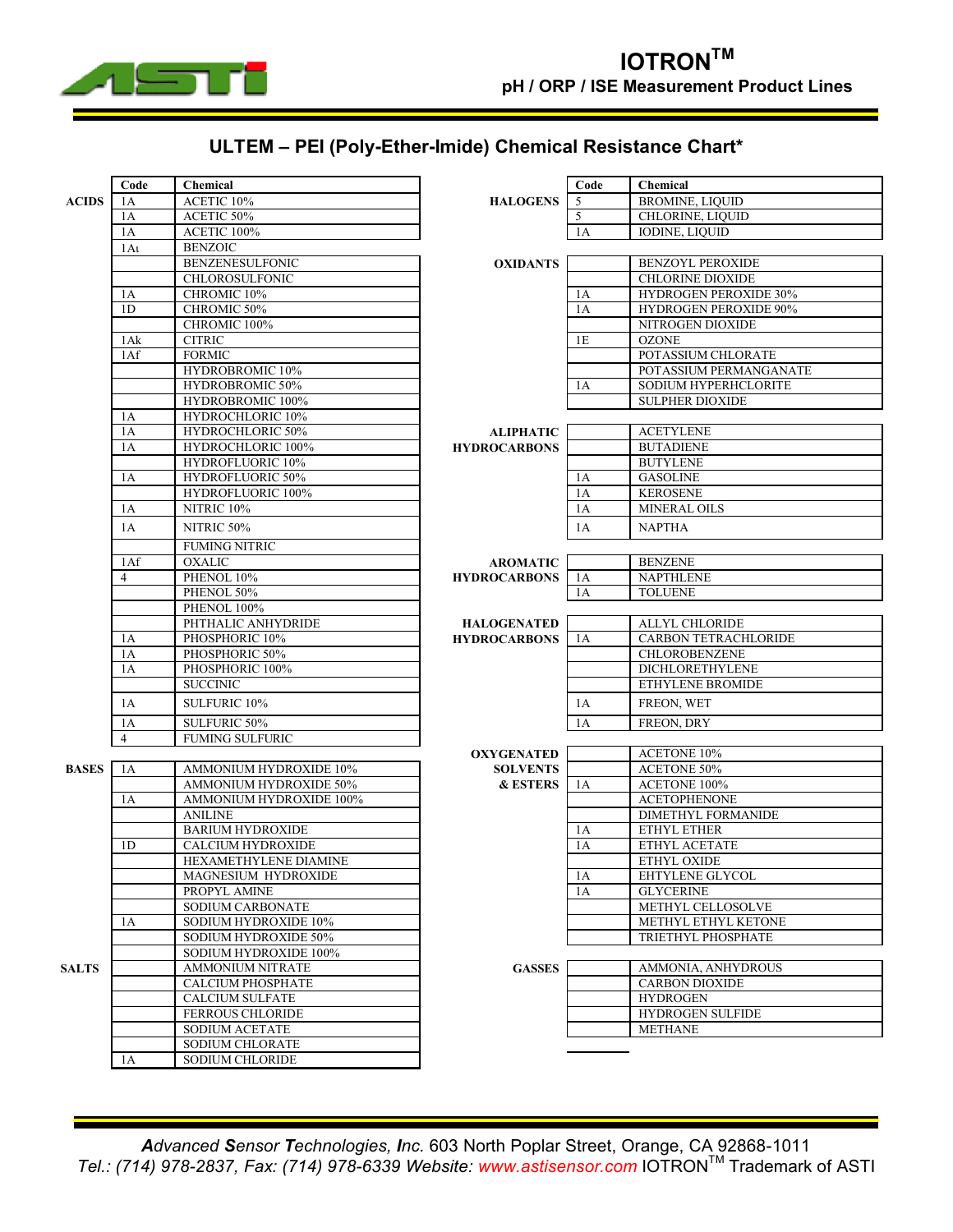

## **ULTEM ± PEI (Poly-Ether-Imide) Chemical Resistance Chart\***

|              | Code           | Chemical                   |                     | Code | <b>Chemical</b>              |  |  |  |
|--------------|----------------|----------------------------|---------------------|------|------------------------------|--|--|--|
| <b>ACIDS</b> | 1A             | ACETIC 10%                 | <b>HALOGENS</b>     | 5    | <b>BROMINE, LIQUID</b>       |  |  |  |
|              | 1A             | ACETIC 50%                 |                     | 5    | CHLORINE, LIQUID             |  |  |  |
|              | 1A             | ACETIC 100%                |                     | 1A   | <b>IODINE, LIQUID</b>        |  |  |  |
|              | 1Au            | <b>BENZOIC</b>             |                     |      |                              |  |  |  |
|              |                | <b>BENZENESULFONIC</b>     | <b>OXIDANTS</b>     |      | <b>BENZOYL PEROXIDE</b>      |  |  |  |
|              |                | <b>CHLOROSULFONIC</b>      |                     |      | <b>CHLORINE DIOXIDE</b>      |  |  |  |
|              | 1A             | CHROMIC 10%                |                     | 1A   | <b>HYDROGEN PEROXIDE 30%</b> |  |  |  |
|              | 1 <sub>D</sub> | CHROMIC 50%                |                     | 1A   | <b>HYDROGEN PEROXIDE 90%</b> |  |  |  |
|              |                | CHROMIC 100%               |                     |      | NITROGEN DIOXIDE             |  |  |  |
|              | 1Ak            | <b>CITRIC</b>              |                     | 1E   | <b>OZONE</b>                 |  |  |  |
|              | 1Af            | <b>FORMIC</b>              |                     |      | POTASSIUM CHLORATE           |  |  |  |
|              |                | HYDROBROMIC 10%            |                     |      | POTASSIUM PERMANGANATE       |  |  |  |
|              |                | HYDROBROMIC 50%            |                     | 1A   | SODIUM HYPERHCLORITE         |  |  |  |
|              |                | HYDROBROMIC 100%           |                     |      | <b>SULPHER DIOXIDE</b>       |  |  |  |
|              | 1A             | HYDROCHLORIC 10%           |                     |      |                              |  |  |  |
|              | 1A             | HYDROCHLORIC 50%           | <b>ALIPHATIC</b>    |      | <b>ACETYLENE</b>             |  |  |  |
|              | 1A             | HYDROCHLORIC 100%          | <b>HYDROCARBONS</b> |      | <b>BUTADIENE</b>             |  |  |  |
|              |                | HYDROFLUORIC 10%           |                     |      | <b>BUTYLENE</b>              |  |  |  |
|              | 1A             | <b>HYDROFLUORIC 50%</b>    |                     | 1A   | <b>GASOLINE</b>              |  |  |  |
|              |                | HYDROFLUORIC 100%          |                     | 1A   | <b>KEROSENE</b>              |  |  |  |
|              | 1A             | NITRIC <sub>10%</sub>      |                     | 1A   | <b>MINERAL OILS</b>          |  |  |  |
|              | 1A             | NITRIC 50%                 |                     | 1A   | <b>NAPTHA</b>                |  |  |  |
|              |                | <b>FUMING NITRIC</b>       |                     |      |                              |  |  |  |
|              | 1Af            | <b>OXALIC</b>              | <b>AROMATIC</b>     |      | <b>BENZENE</b>               |  |  |  |
|              | 4              | PHENOL 10%                 | <b>HYDROCARBONS</b> | 1A   | <b>NAPTHLENE</b>             |  |  |  |
|              |                | PHENOL 50%                 |                     | 1A   | <b>TOLUENE</b>               |  |  |  |
|              |                | PHENOL 100%                |                     |      |                              |  |  |  |
|              |                | PHTHALIC ANHYDRIDE         | <b>HALOGENATED</b>  |      | <b>ALLYL CHLORIDE</b>        |  |  |  |
|              | 1A             | PHOSPHORIC 10%             | <b>HYDROCARBONS</b> | 1A   | <b>CARBON TETRACHLORIDE</b>  |  |  |  |
|              | 1A             | PHOSPHORIC 50%             |                     |      | <b>CHLOROBENZENE</b>         |  |  |  |
|              | 1A             | PHOSPHORIC 100%            |                     |      | <b>DICHLORETHYLENE</b>       |  |  |  |
|              |                | <b>SUCCINIC</b>            |                     |      | ETHYLENE BROMIDE             |  |  |  |
|              | 1A             | SULFURIC 10%               |                     | 1A   | FREON, WET                   |  |  |  |
|              | 1A             | SULFURIC 50%               |                     | 1A   | FREON, DRY                   |  |  |  |
|              | $\overline{4}$ | <b>FUMING SULFURIC</b>     |                     |      |                              |  |  |  |
|              |                |                            | <b>OXYGENATED</b>   |      | <b>ACETONE 10%</b>           |  |  |  |
| <b>BASES</b> | 1A             | AMMONIUM HYDROXIDE 10%     | <b>SOLVENTS</b>     |      | <b>ACETONE 50%</b>           |  |  |  |
|              |                | AMMONIUM HYDROXIDE 50%     | <b>&amp; ESTERS</b> | 1A   | ACETONE 100%                 |  |  |  |
|              | 1A             | AMMONIUM HYDROXIDE 100%    |                     |      | <b>ACETOPHENONE</b>          |  |  |  |
|              |                | <b>ANILINE</b>             |                     |      | <b>DIMETHYL FORMANIDE</b>    |  |  |  |
|              |                | <b>BARIUM HYDROXIDE</b>    |                     | 1A   | ETHYL ETHER                  |  |  |  |
|              | 1 <sub>D</sub> | <b>CALCIUM HYDROXIDE</b>   |                     | 1A   | ETHYL ACETATE                |  |  |  |
|              |                | HEXAMETHYLENE DIAMINE      |                     |      | ETHYL OXIDE                  |  |  |  |
|              |                | <b>MAGNESIUM HYDROXIDE</b> |                     | 1A   | EHTYLENE GLYCOL              |  |  |  |
|              |                | PROPYL AMINE               |                     | 1A   | <b>GLYCERINE</b>             |  |  |  |
|              |                | <b>SODIUM CARBONATE</b>    |                     |      | METHYL CELLOSOLVE            |  |  |  |
|              | 1A             | SODIUM HYDROXIDE 10%       |                     |      | METHYL ETHYL KETONE          |  |  |  |
|              |                | SODIUM HYDROXIDE 50%       |                     |      | TRIETHYL PHOSPHATE           |  |  |  |
|              |                | SODIUM HYDROXIDE 100%      |                     |      |                              |  |  |  |
| <b>SALTS</b> |                | <b>AMMONIUM NITRATE</b>    | <b>GASSES</b>       |      | AMMONIA, ANHYDROUS           |  |  |  |
|              |                | <b>CALCIUM PHOSPHATE</b>   |                     |      | <b>CARBON DIOXIDE</b>        |  |  |  |
|              |                | <b>CALCIUM SULFATE</b>     |                     |      | <b>HYDROGEN</b>              |  |  |  |
|              |                | <b>FERROUS CHLORIDE</b>    |                     |      | HYDROGEN SULFIDE             |  |  |  |
|              |                | <b>SODIUM ACETATE</b>      |                     |      | <b>METHANE</b>               |  |  |  |
|              |                | <b>SODIUM CHLORATE</b>     |                     |      |                              |  |  |  |
|              | 1A             | SODIUM CHLORIDE            |                     |      |                              |  |  |  |